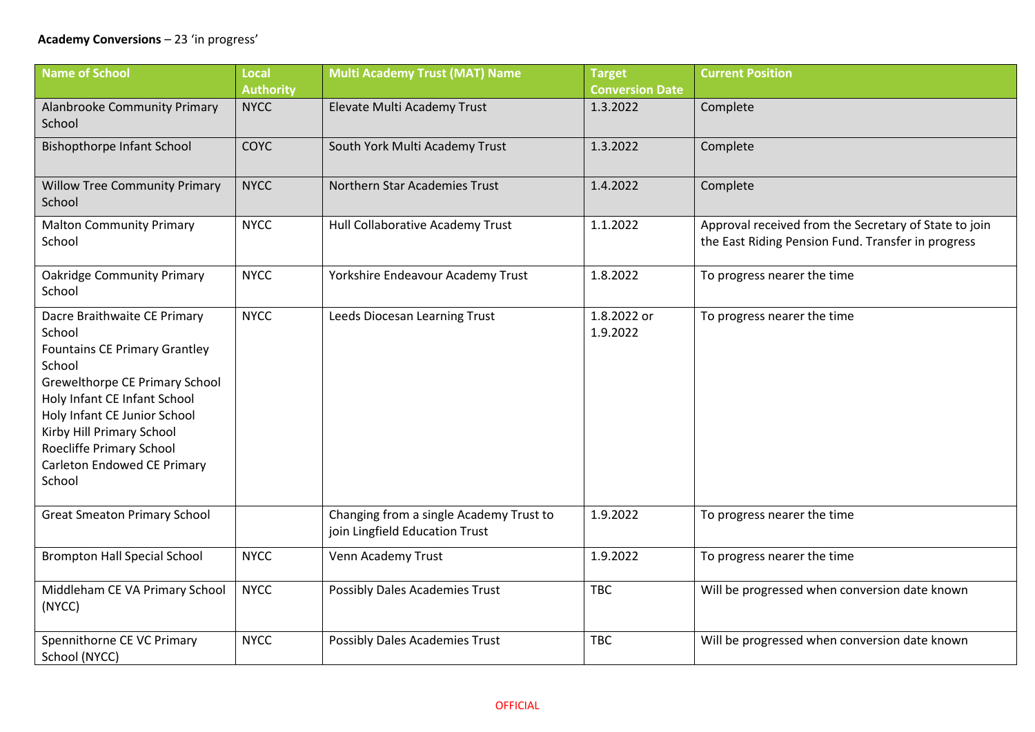## **Academy Conversions** – 23 'in progress'

| <b>Name of School</b>                                                                                                                                                                                                                                                                        | <b>Local</b>     | <b>Multi Academy Trust (MAT) Name</b>                                     | <b>Target</b>           | <b>Current Position</b>                                                                                     |
|----------------------------------------------------------------------------------------------------------------------------------------------------------------------------------------------------------------------------------------------------------------------------------------------|------------------|---------------------------------------------------------------------------|-------------------------|-------------------------------------------------------------------------------------------------------------|
|                                                                                                                                                                                                                                                                                              | <b>Authority</b> |                                                                           | <b>Conversion Date</b>  |                                                                                                             |
| Alanbrooke Community Primary<br>School                                                                                                                                                                                                                                                       | <b>NYCC</b>      | Elevate Multi Academy Trust                                               | 1.3.2022                | Complete                                                                                                    |
| <b>Bishopthorpe Infant School</b>                                                                                                                                                                                                                                                            | <b>COYC</b>      | South York Multi Academy Trust                                            | 1.3.2022                | Complete                                                                                                    |
| <b>Willow Tree Community Primary</b><br>School                                                                                                                                                                                                                                               | <b>NYCC</b>      | Northern Star Academies Trust                                             | 1.4.2022                | Complete                                                                                                    |
| <b>Malton Community Primary</b><br>School                                                                                                                                                                                                                                                    | <b>NYCC</b>      | Hull Collaborative Academy Trust                                          | 1.1.2022                | Approval received from the Secretary of State to join<br>the East Riding Pension Fund. Transfer in progress |
| <b>Oakridge Community Primary</b><br>School                                                                                                                                                                                                                                                  | <b>NYCC</b>      | Yorkshire Endeavour Academy Trust                                         | 1.8.2022                | To progress nearer the time                                                                                 |
| Dacre Braithwaite CE Primary<br>School<br><b>Fountains CE Primary Grantley</b><br>School<br>Grewelthorpe CE Primary School<br>Holy Infant CE Infant School<br>Holy Infant CE Junior School<br>Kirby Hill Primary School<br>Roecliffe Primary School<br>Carleton Endowed CE Primary<br>School | <b>NYCC</b>      | Leeds Diocesan Learning Trust                                             | 1.8.2022 or<br>1.9.2022 | To progress nearer the time                                                                                 |
| <b>Great Smeaton Primary School</b>                                                                                                                                                                                                                                                          |                  | Changing from a single Academy Trust to<br>join Lingfield Education Trust | 1.9.2022                | To progress nearer the time                                                                                 |
| <b>Brompton Hall Special School</b>                                                                                                                                                                                                                                                          | <b>NYCC</b>      | Venn Academy Trust                                                        | 1.9.2022                | To progress nearer the time                                                                                 |
| Middleham CE VA Primary School<br>(NYCC)                                                                                                                                                                                                                                                     | <b>NYCC</b>      | Possibly Dales Academies Trust                                            | <b>TBC</b>              | Will be progressed when conversion date known                                                               |
| Spennithorne CE VC Primary<br>School (NYCC)                                                                                                                                                                                                                                                  | <b>NYCC</b>      | Possibly Dales Academies Trust                                            | <b>TBC</b>              | Will be progressed when conversion date known                                                               |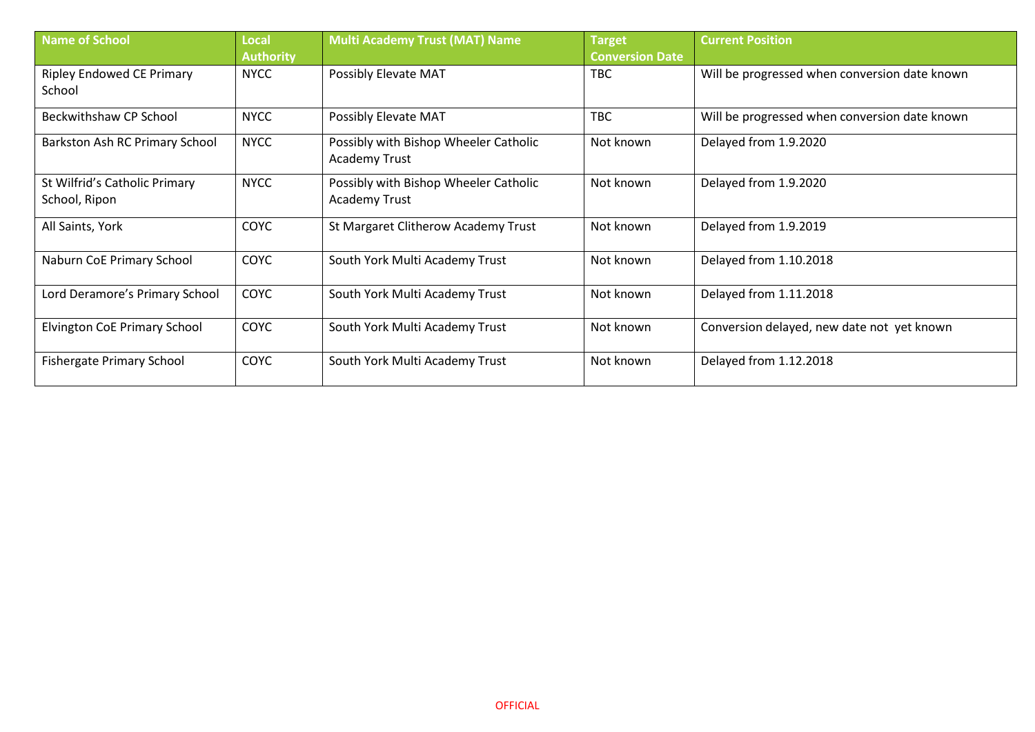| Name of School                                 | <b>Local</b><br><b>Authority</b> | <b>Multi Academy Trust (MAT) Name</b>                  | <b>Target</b><br><b>Conversion Date</b> | <b>Current Position</b>                       |
|------------------------------------------------|----------------------------------|--------------------------------------------------------|-----------------------------------------|-----------------------------------------------|
| <b>Ripley Endowed CE Primary</b><br>School     | <b>NYCC</b>                      | Possibly Elevate MAT                                   | <b>TBC</b>                              | Will be progressed when conversion date known |
| Beckwithshaw CP School                         | <b>NYCC</b>                      | Possibly Elevate MAT                                   | <b>TBC</b>                              | Will be progressed when conversion date known |
| Barkston Ash RC Primary School                 | <b>NYCC</b>                      | Possibly with Bishop Wheeler Catholic<br>Academy Trust | Not known                               | Delayed from 1.9.2020                         |
| St Wilfrid's Catholic Primary<br>School, Ripon | <b>NYCC</b>                      | Possibly with Bishop Wheeler Catholic<br>Academy Trust | Not known                               | Delayed from 1.9.2020                         |
| All Saints, York                               | <b>COYC</b>                      | St Margaret Clitherow Academy Trust                    | Not known                               | Delayed from 1.9.2019                         |
| Naburn CoE Primary School                      | <b>COYC</b>                      | South York Multi Academy Trust                         | Not known                               | Delayed from 1.10.2018                        |
| Lord Deramore's Primary School                 | COYC                             | South York Multi Academy Trust                         | Not known                               | Delayed from 1.11.2018                        |
| <b>Elvington CoE Primary School</b>            | COYC                             | South York Multi Academy Trust                         | Not known                               | Conversion delayed, new date not yet known    |
| <b>Fishergate Primary School</b>               | COYC                             | South York Multi Academy Trust                         | Not known                               | Delayed from 1.12.2018                        |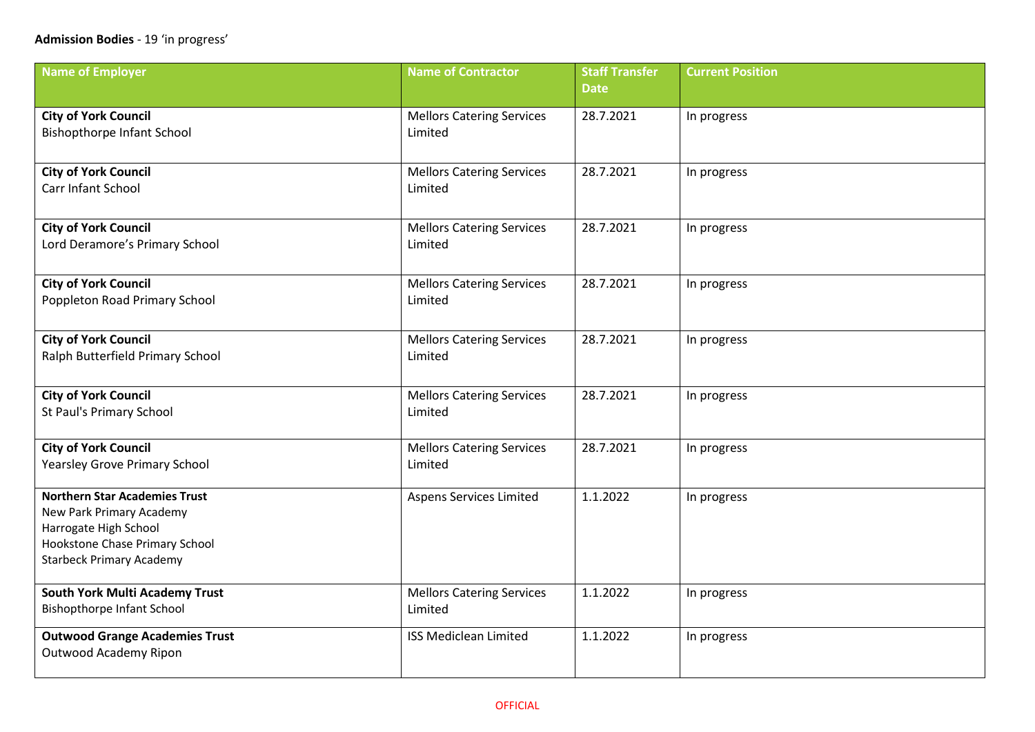| <b>Name of Employer</b>                                                                                                                                        | <b>Name of Contractor</b>                   | <b>Staff Transfer</b><br><b>Date</b> | <b>Current Position</b> |
|----------------------------------------------------------------------------------------------------------------------------------------------------------------|---------------------------------------------|--------------------------------------|-------------------------|
|                                                                                                                                                                |                                             |                                      |                         |
| <b>City of York Council</b><br><b>Bishopthorpe Infant School</b>                                                                                               | <b>Mellors Catering Services</b><br>Limited | 28.7.2021                            | In progress             |
| <b>City of York Council</b><br>Carr Infant School                                                                                                              | <b>Mellors Catering Services</b><br>Limited | 28.7.2021                            | In progress             |
| <b>City of York Council</b><br>Lord Deramore's Primary School                                                                                                  | <b>Mellors Catering Services</b><br>Limited | 28.7.2021                            | In progress             |
| <b>City of York Council</b><br>Poppleton Road Primary School                                                                                                   | <b>Mellors Catering Services</b><br>Limited | 28.7.2021                            | In progress             |
| <b>City of York Council</b><br>Ralph Butterfield Primary School                                                                                                | <b>Mellors Catering Services</b><br>Limited | 28.7.2021                            | In progress             |
| <b>City of York Council</b><br>St Paul's Primary School                                                                                                        | <b>Mellors Catering Services</b><br>Limited | 28.7.2021                            | In progress             |
| <b>City of York Council</b><br><b>Yearsley Grove Primary School</b>                                                                                            | <b>Mellors Catering Services</b><br>Limited | 28.7.2021                            | In progress             |
| <b>Northern Star Academies Trust</b><br>New Park Primary Academy<br>Harrogate High School<br>Hookstone Chase Primary School<br><b>Starbeck Primary Academy</b> | Aspens Services Limited                     | 1.1.2022                             | In progress             |
| <b>South York Multi Academy Trust</b><br>Bishopthorpe Infant School                                                                                            | <b>Mellors Catering Services</b><br>Limited | 1.1.2022                             | In progress             |
| <b>Outwood Grange Academies Trust</b><br>Outwood Academy Ripon                                                                                                 | <b>ISS Mediclean Limited</b>                | 1.1.2022                             | In progress             |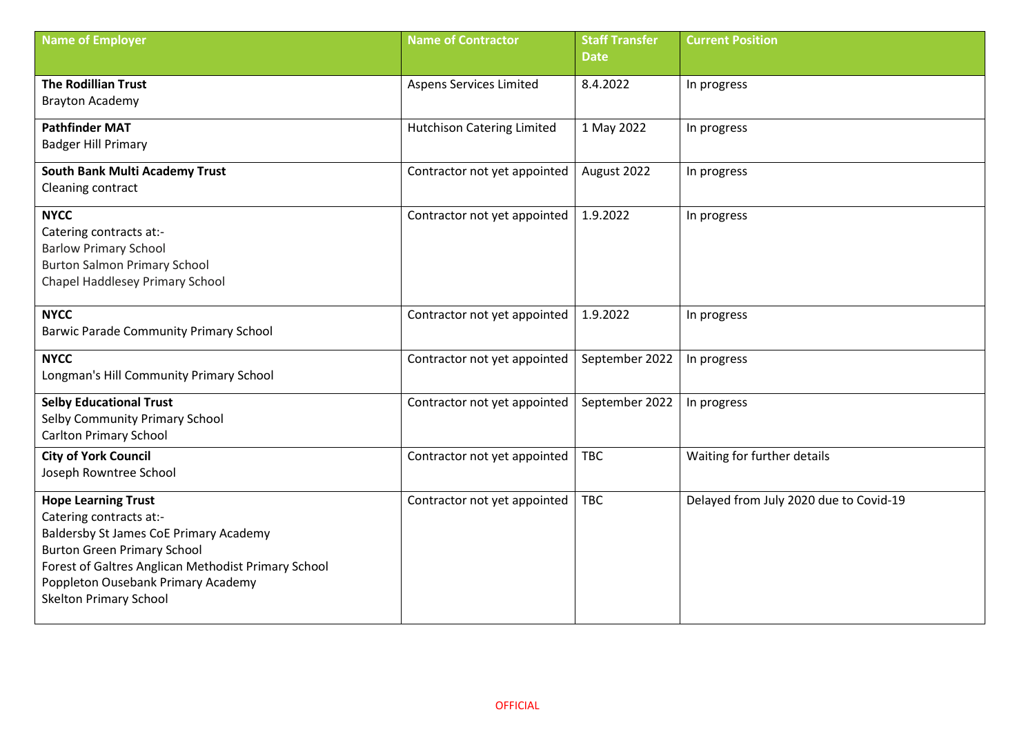| <b>Name of Employer</b>                                                                   | <b>Name of Contractor</b>         | <b>Staff Transfer</b> | <b>Current Position</b>                |
|-------------------------------------------------------------------------------------------|-----------------------------------|-----------------------|----------------------------------------|
|                                                                                           |                                   | <b>Date</b>           |                                        |
| <b>The Rodillian Trust</b>                                                                | Aspens Services Limited           | 8.4.2022              | In progress                            |
| <b>Brayton Academy</b>                                                                    |                                   |                       |                                        |
| <b>Pathfinder MAT</b>                                                                     | <b>Hutchison Catering Limited</b> | 1 May 2022            | In progress                            |
| <b>Badger Hill Primary</b>                                                                |                                   |                       |                                        |
| <b>South Bank Multi Academy Trust</b>                                                     | Contractor not yet appointed      | August 2022           | In progress                            |
| Cleaning contract                                                                         |                                   |                       |                                        |
| <b>NYCC</b>                                                                               | Contractor not yet appointed      | 1.9.2022              | In progress                            |
| Catering contracts at:-                                                                   |                                   |                       |                                        |
| <b>Barlow Primary School</b>                                                              |                                   |                       |                                        |
| <b>Burton Salmon Primary School</b>                                                       |                                   |                       |                                        |
| Chapel Haddlesey Primary School                                                           |                                   |                       |                                        |
| <b>NYCC</b>                                                                               | Contractor not yet appointed      | 1.9.2022              | In progress                            |
| <b>Barwic Parade Community Primary School</b>                                             |                                   |                       |                                        |
| <b>NYCC</b>                                                                               | Contractor not yet appointed      | September 2022        | In progress                            |
| Longman's Hill Community Primary School                                                   |                                   |                       |                                        |
| <b>Selby Educational Trust</b>                                                            | Contractor not yet appointed      | September 2022        | In progress                            |
| Selby Community Primary School                                                            |                                   |                       |                                        |
| <b>Carlton Primary School</b>                                                             |                                   |                       |                                        |
| <b>City of York Council</b>                                                               | Contractor not yet appointed      | <b>TBC</b>            | Waiting for further details            |
| Joseph Rowntree School                                                                    |                                   |                       |                                        |
| <b>Hope Learning Trust</b>                                                                | Contractor not yet appointed      | <b>TBC</b>            | Delayed from July 2020 due to Covid-19 |
| Catering contracts at:-                                                                   |                                   |                       |                                        |
| Baldersby St James CoE Primary Academy                                                    |                                   |                       |                                        |
| <b>Burton Green Primary School</b><br>Forest of Galtres Anglican Methodist Primary School |                                   |                       |                                        |
| Poppleton Ousebank Primary Academy                                                        |                                   |                       |                                        |
| <b>Skelton Primary School</b>                                                             |                                   |                       |                                        |
|                                                                                           |                                   |                       |                                        |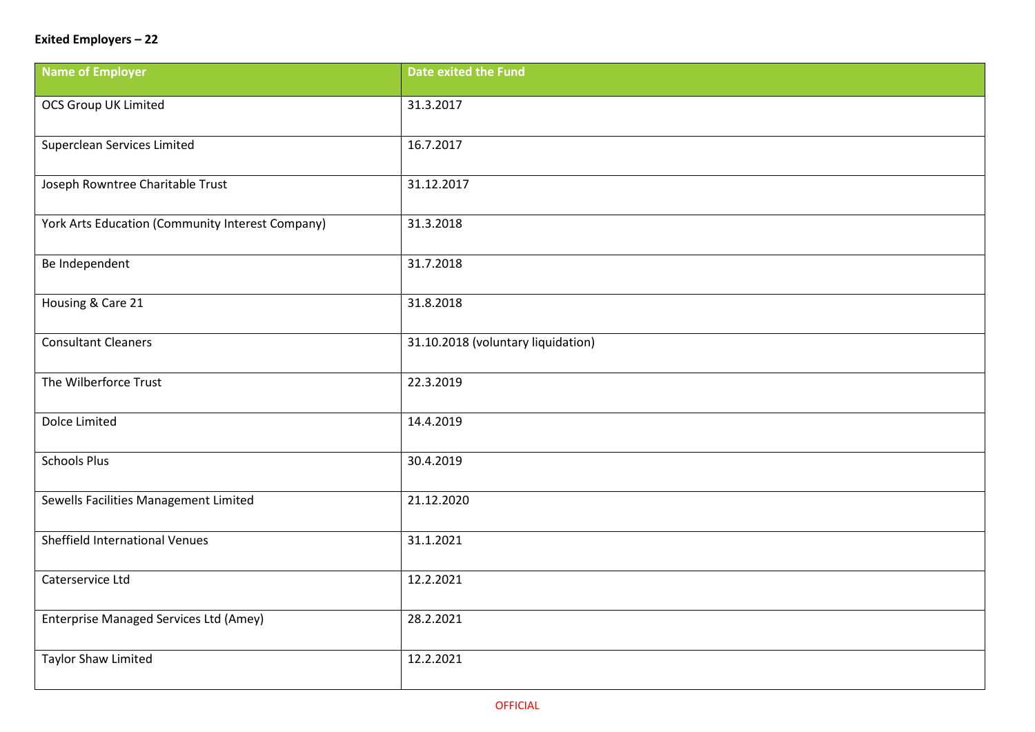## **Exited Employers – 22**

| <b>Name of Employer</b>                          | <b>Date exited the Fund</b>        |
|--------------------------------------------------|------------------------------------|
| <b>OCS Group UK Limited</b>                      | 31.3.2017                          |
| Superclean Services Limited                      | 16.7.2017                          |
| Joseph Rowntree Charitable Trust                 | 31.12.2017                         |
| York Arts Education (Community Interest Company) | 31.3.2018                          |
| Be Independent                                   | 31.7.2018                          |
| Housing & Care 21                                | 31.8.2018                          |
| <b>Consultant Cleaners</b>                       | 31.10.2018 (voluntary liquidation) |
| The Wilberforce Trust                            | 22.3.2019                          |
| Dolce Limited                                    | 14.4.2019                          |
| <b>Schools Plus</b>                              | 30.4.2019                          |
| Sewells Facilities Management Limited            | 21.12.2020                         |
| <b>Sheffield International Venues</b>            | 31.1.2021                          |
| Caterservice Ltd                                 | 12.2.2021                          |
| Enterprise Managed Services Ltd (Amey)           | 28.2.2021                          |
| <b>Taylor Shaw Limited</b>                       | 12.2.2021                          |